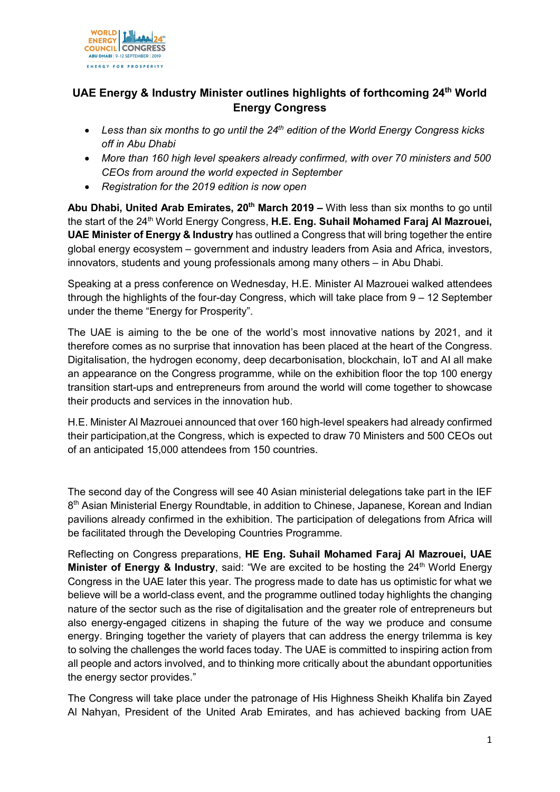

## **UAE Energy & Industry Minister outlines highlights of forthcoming 24th World Energy Congress**

- *Less than six months to go until the 24th edition of the World Energy Congress kicks off in Abu Dhabi*
- *More than 160 high level speakers already confirmed, with over 70 ministers and 500 CEOs from around the world expected in September*
- *Registration for the 2019 edition is now open*

**Abu Dhabi, United Arab Emirates, 20th March 2019 –** With less than six months to go until the start of the 24<sup>th</sup> World Energy Congress, H.E. Eng. Suhail Mohamed Faraj Al Mazrouei, **UAE Minister of Energy & Industry** has outlined a Congress that will bring together the entire global energy ecosystem – government and industry leaders from Asia and Africa, investors, innovators, students and young professionals among many others – in Abu Dhabi.

Speaking at a press conference on Wednesday, H.E. Minister Al Mazrouei walked attendees through the highlights of the four-day Congress, which will take place from 9 – 12 September under the theme "Energy for Prosperity".

The UAE is aiming to the be one of the world's most innovative nations by 2021, and it therefore comes as no surprise that innovation has been placed at the heart of the Congress. Digitalisation, the hydrogen economy, deep decarbonisation, blockchain, IoT and AI all make an appearance on the Congress programme, while on the exhibition floor the top 100 energy transition start-ups and entrepreneurs from around the world will come together to showcase their products and services in the innovation hub.

H.E. Minister Al Mazrouei announced that over 160 high-level speakers had already confirmed their participation,at the Congress, which is expected to draw 70 Ministers and 500 CEOs out of an anticipated 15,000 attendees from 150 countries.

The second day of the Congress will see 40 Asian ministerial delegations take part in the IEF 8<sup>th</sup> Asian Ministerial Energy Roundtable, in addition to Chinese, Japanese, Korean and Indian pavilions already confirmed in the exhibition. The participation of delegations from Africa will be facilitated through the Developing Countries Programme.

Reflecting on Congress preparations, **HE Eng. Suhail Mohamed Faraj Al Mazrouei, UAE Minister of Energy & Industry, said: "We are excited to be hosting the 24<sup>th</sup> World Energy** Congress in the UAE later this year. The progress made to date has us optimistic for what we believe will be a world-class event, and the programme outlined today highlights the changing nature of the sector such as the rise of digitalisation and the greater role of entrepreneurs but also energy-engaged citizens in shaping the future of the way we produce and consume energy. Bringing together the variety of players that can address the energy trilemma is key to solving the challenges the world faces today. The UAE is committed to inspiring action from all people and actors involved, and to thinking more critically about the abundant opportunities the energy sector provides."

The Congress will take place under the patronage of His Highness Sheikh Khalifa bin Zayed Al Nahyan, President of the United Arab Emirates, and has achieved backing from UAE